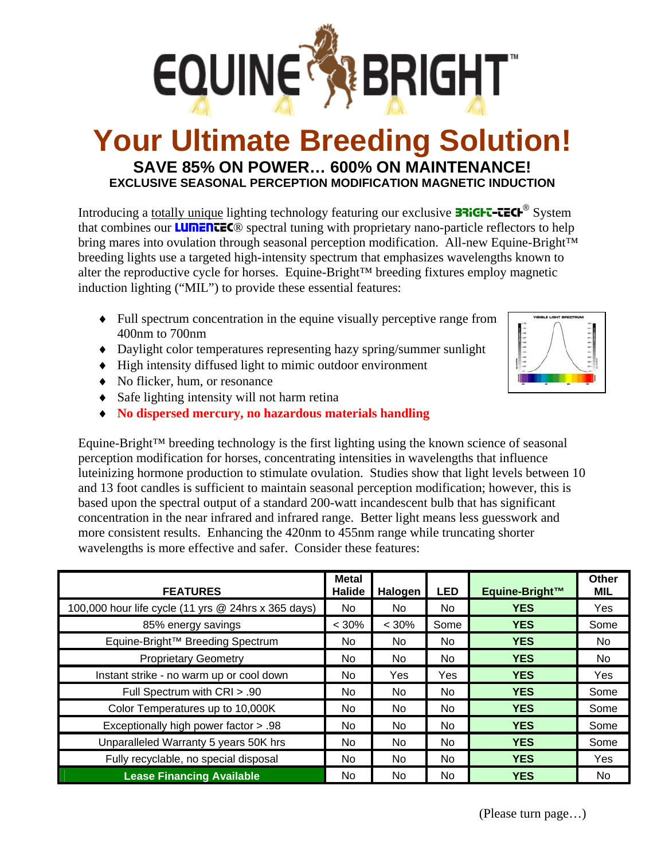

# **Your Ultimate Breeding Solution! SAVE 85% ON POWER… 600% ON MAINTENANCE! EXCLUSIVE SEASONAL PERCEPTION MODIFICATION MAGNETIC INDUCTION**

Introducing a totally unique lighting technology featuring our exclusive **37iGHT-TECH**<sup>®</sup> System that combines our **LUMENTEC**® spectral tuning with proprietary nano-particle reflectors to help bring mares into ovulation through seasonal perception modification. All-new Equine-Bright™ breeding lights use a targeted high-intensity spectrum that emphasizes wavelengths known to alter the reproductive cycle for horses. Equine-Bright™ breeding fixtures employ magnetic induction lighting ("MIL") to provide these essential features:

- ♦ Full spectrum concentration in the equine visually perceptive range from 400nm to 700nm
- ♦ Daylight color temperatures representing hazy spring/summer sunlight
- ♦ High intensity diffused light to mimic outdoor environment
- ♦ No flicker, hum, or resonance
- ♦ Safe lighting intensity will not harm retina
- ♦ **No dispersed mercury, no hazardous materials handling**

Equine-Bright™ breeding technology is the first lighting using the known science of seasonal perception modification for horses, concentrating intensities in wavelengths that influence luteinizing hormone production to stimulate ovulation. Studies show that light levels between 10 and 13 foot candles is sufficient to maintain seasonal perception modification; however, this is based upon the spectral output of a standard 200-watt incandescent bulb that has significant concentration in the near infrared and infrared range. Better light means less guesswork and more consistent results. Enhancing the 420nm to 455nm range while truncating shorter wavelengths is more effective and safer. Consider these features:

| <b>FEATURES</b>                                     | <b>Metal</b><br>Halide | Halogen    | <b>LED</b> | Equine-Bright™ | Other<br><b>MIL</b> |
|-----------------------------------------------------|------------------------|------------|------------|----------------|---------------------|
| 100,000 hour life cycle (11 yrs @ 24hrs x 365 days) | No                     | No.        | No.        | <b>YES</b>     | Yes                 |
| 85% energy savings                                  | $< 30\%$               | $< 30\%$   | Some       | <b>YES</b>     | Some                |
| Equine-Bright <sup>™</sup> Breeding Spectrum        | No.                    | No.        | No.        | <b>YES</b>     | No.                 |
| <b>Proprietary Geometry</b>                         | No.                    | No.        | No.        | <b>YES</b>     | No.                 |
| Instant strike - no warm up or cool down            | No                     | <b>Yes</b> | <b>Yes</b> | <b>YES</b>     | Yes                 |
| Full Spectrum with CRI > .90                        | No.                    | No.        | No.        | <b>YES</b>     | Some                |
| Color Temperatures up to 10,000K                    | No.                    | No.        | No.        | <b>YES</b>     | Some                |
| Exceptionally high power factor > .98               | No.                    | No.        | No.        | <b>YES</b>     | Some                |
| Unparalleled Warranty 5 years 50K hrs               | No.                    | No.        | No.        | <b>YES</b>     | Some                |
| Fully recyclable, no special disposal               | No.                    | No.        | <b>No</b>  | <b>YES</b>     | Yes                 |
| <b>Lease Financing Available</b>                    | No.                    | No.        | <b>No</b>  | <b>YES</b>     | No.                 |